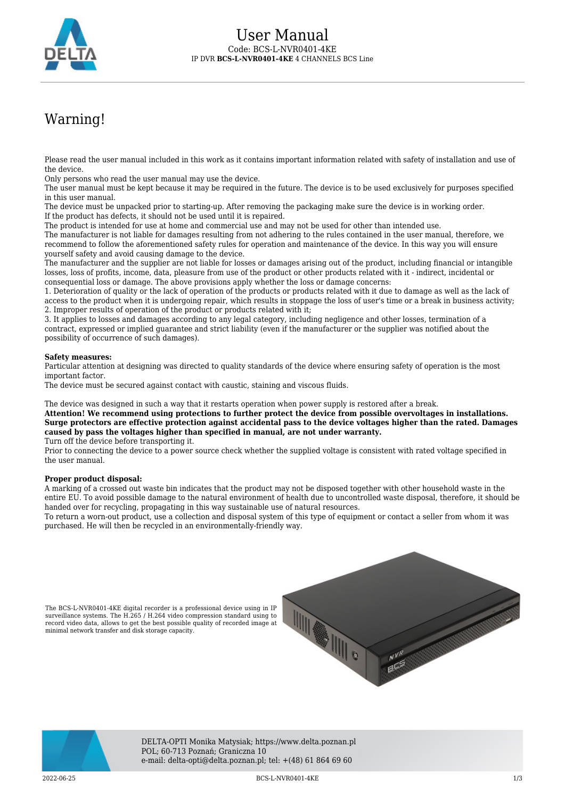

# Warning!

Please read the user manual included in this work as it contains important information related with safety of installation and use of the device.

Only persons who read the user manual may use the device.

The user manual must be kept because it may be required in the future. The device is to be used exclusively for purposes specified in this user manual.

The device must be unpacked prior to starting-up. After removing the packaging make sure the device is in working order. If the product has defects, it should not be used until it is repaired.

The product is intended for use at home and commercial use and may not be used for other than intended use.

The manufacturer is not liable for damages resulting from not adhering to the rules contained in the user manual, therefore, we recommend to follow the aforementioned safety rules for operation and maintenance of the device. In this way you will ensure yourself safety and avoid causing damage to the device.

The manufacturer and the supplier are not liable for losses or damages arising out of the product, including financial or intangible losses, loss of profits, income, data, pleasure from use of the product or other products related with it - indirect, incidental or consequential loss or damage. The above provisions apply whether the loss or damage concerns:

1. Deterioration of quality or the lack of operation of the products or products related with it due to damage as well as the lack of access to the product when it is undergoing repair, which results in stoppage the loss of user's time or a break in business activity; 2. Improper results of operation of the product or products related with it;

3. It applies to losses and damages according to any legal category, including negligence and other losses, termination of a contract, expressed or implied guarantee and strict liability (even if the manufacturer or the supplier was notified about the possibility of occurrence of such damages).

### **Safety measures:**

Particular attention at designing was directed to quality standards of the device where ensuring safety of operation is the most important factor.

The device must be secured against contact with caustic, staining and viscous fluids.

The device was designed in such a way that it restarts operation when power supply is restored after a break.

**Attention! We recommend using protections to further protect the device from possible overvoltages in installations. Surge protectors are effective protection against accidental pass to the device voltages higher than the rated. Damages caused by pass the voltages higher than specified in manual, are not under warranty.** Turn off the device before transporting it.

Prior to connecting the device to a power source check whether the supplied voltage is consistent with rated voltage specified in the user manual.

### **Proper product disposal:**

minimal network transfer and disk storage capacity.

A marking of a crossed out waste bin indicates that the product may not be disposed together with other household waste in the entire EU. To avoid possible damage to the natural environment of health due to uncontrolled waste disposal, therefore, it should be handed over for recycling, propagating in this way sustainable use of natural resources.

To return a worn-out product, use a collection and disposal system of this type of equipment or contact a seller from whom it was purchased. He will then be recycled in an environmentally-friendly way.





DELTA-OPTI Monika Matysiak; https://www.delta.poznan.pl POL; 60-713 Poznań; Graniczna 10 e-mail: delta-opti@delta.poznan.pl; tel: +(48) 61 864 69 60

2022-06-25 BCS-L-NVR0401-4KE 1/3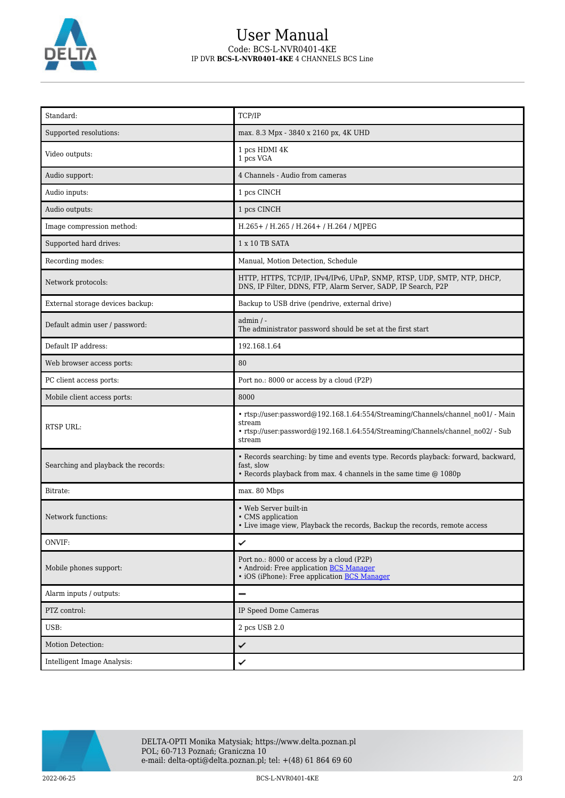

# User Manual Code: BCS-L-NVR0401-4KE IP DVR **BCS-L-NVR0401-4KE** 4 CHANNELS BCS Line

| Standard:                           | TCP/IP                                                                                                                                                                                |
|-------------------------------------|---------------------------------------------------------------------------------------------------------------------------------------------------------------------------------------|
| Supported resolutions:              | max. 8.3 Mpx - 3840 x 2160 px, 4K UHD                                                                                                                                                 |
| Video outputs:                      | 1 pcs HDMI 4K<br>1 pcs VGA                                                                                                                                                            |
| Audio support:                      | 4 Channels - Audio from cameras                                                                                                                                                       |
| Audio inputs:                       | 1 pcs CINCH                                                                                                                                                                           |
| Audio outputs:                      | 1 pcs CINCH                                                                                                                                                                           |
| Image compression method:           | H.265+/H.265/H.264+/H.264/MJPEG                                                                                                                                                       |
| Supported hard drives:              | 1 x 10 TB SATA                                                                                                                                                                        |
| Recording modes:                    | Manual, Motion Detection, Schedule                                                                                                                                                    |
| Network protocols:                  | HTTP, HTTPS, TCP/IP, IPv4/IPv6, UPnP, SNMP, RTSP, UDP, SMTP, NTP, DHCP,<br>DNS, IP Filter, DDNS, FTP, Alarm Server, SADP, IP Search, P2P                                              |
| External storage devices backup:    | Backup to USB drive (pendrive, external drive)                                                                                                                                        |
| Default admin user / password:      | $admin / -$<br>The administrator password should be set at the first start                                                                                                            |
| Default IP address:                 | 192.168.1.64                                                                                                                                                                          |
| Web browser access ports:           | 80                                                                                                                                                                                    |
| PC client access ports:             | Port no.: 8000 or access by a cloud (P2P)                                                                                                                                             |
| Mobile client access ports:         | 8000                                                                                                                                                                                  |
| <b>RTSP URL:</b>                    | • rtsp://user:password@192.168.1.64:554/Streaming/Channels/channel no01/ - Main<br>stream<br>• rtsp://user:password@192.168.1.64:554/Streaming/Channels/channel no02/ - Sub<br>stream |
| Searching and playback the records: | • Records searching: by time and events type. Records playback: forward, backward,<br>fast, slow<br>• Records playback from max. 4 channels in the same time @ 1080p                  |
| Bitrate:                            | max. 80 Mbps                                                                                                                                                                          |
| Network functions:                  | • Web Server built-in<br>• CMS application<br>• Live image view, Playback the records, Backup the records, remote access                                                              |
| ONVIF:                              | ✓                                                                                                                                                                                     |
| Mobile phones support:              | Port no.: 8000 or access by a cloud (P2P)<br>• Android: Free application <b>BCS Manager</b><br>• iOS (iPhone): Free application BCS Manager                                           |
| Alarm inputs / outputs:             | —                                                                                                                                                                                     |
| PTZ control:                        | IP Speed Dome Cameras                                                                                                                                                                 |
| USB:                                | 2 pcs USB 2.0                                                                                                                                                                         |
| Motion Detection:                   | ✓                                                                                                                                                                                     |
| Intelligent Image Analysis:         | ✓                                                                                                                                                                                     |